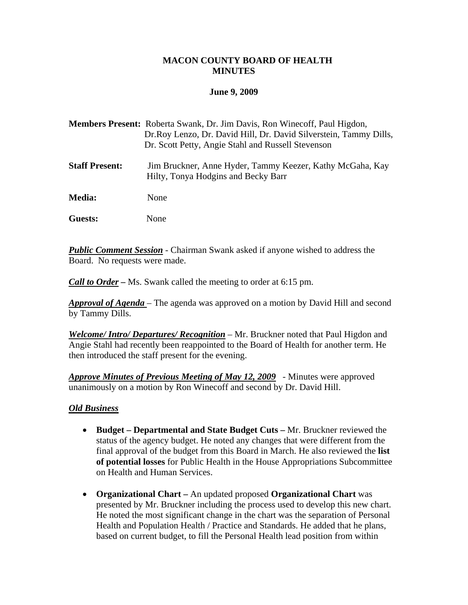#### **MACON COUNTY BOARD OF HEALTH MINUTES**

#### **June 9, 2009**

| <b>Members Present:</b> Roberta Swank, Dr. Jim Davis, Ron Winecoff, Paul Higdon, |
|----------------------------------------------------------------------------------|
| Dr. Roy Lenzo, Dr. David Hill, Dr. David Silverstein, Tammy Dills,               |
| Dr. Scott Petty, Angie Stahl and Russell Stevenson                               |
|                                                                                  |

**Staff Present:** Jim Bruckner, Anne Hyder, Tammy Keezer, Kathy McGaha, Kay Hilty, Tonya Hodgins and Becky Barr

**Media:** None

**Guests:** None

*Public Comment Session* - Chairman Swank asked if anyone wished to address the Board. No requests were made.

*Call to Order –* Ms. Swank called the meeting to order at 6:15 pm.

*Approval of Agenda* – The agenda was approved on a motion by David Hill and second by Tammy Dills.

*Welcome/ Intro/ Departures/ Recognition* – Mr. Bruckner noted that Paul Higdon and Angie Stahl had recently been reappointed to the Board of Health for another term. He then introduced the staff present for the evening.

*Approve Minutes of Previous Meeting of May 12, 2009* - Minutes were approved unanimously on a motion by Ron Winecoff and second by Dr. David Hill.

#### *Old Business*

- **Budget Departmental and State Budget Cuts** Mr. Bruckner reviewed the status of the agency budget. He noted any changes that were different from the final approval of the budget from this Board in March. He also reviewed the **list of potential losses** for Public Health in the House Appropriations Subcommittee on Health and Human Services.
- **Organizational Chart** An updated proposed **Organizational Chart** was presented by Mr. Bruckner including the process used to develop this new chart. He noted the most significant change in the chart was the separation of Personal Health and Population Health / Practice and Standards. He added that he plans, based on current budget, to fill the Personal Health lead position from within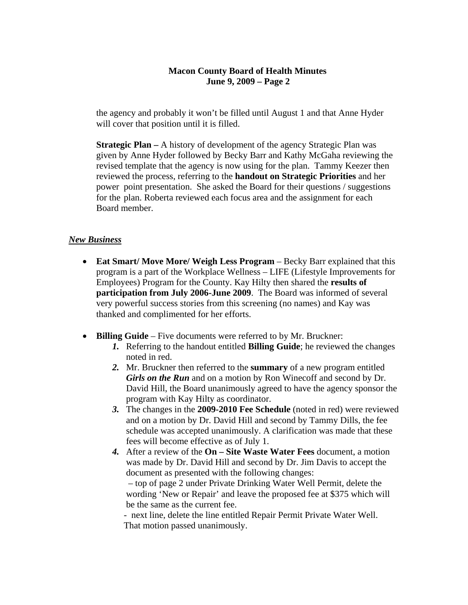## **Macon County Board of Health Minutes June 9, 2009 – Page 2**

 the agency and probably it won't be filled until August 1 and that Anne Hyder will cover that position until it is filled.

**Strategic Plan –** A history of development of the agency Strategic Plan was given by Anne Hyder followed by Becky Barr and Kathy McGaha reviewing the revised template that the agency is now using for the plan. Tammy Keezer then reviewed the process, referring to the **handout on Strategic Priorities** and her power point presentation. She asked the Board for their questions / suggestions for the plan. Roberta reviewed each focus area and the assignment for each Board member.

# *New Business*

- **Eat Smart/ Move More/ Weigh Less Program** Becky Barr explained that this program is a part of the Workplace Wellness – LIFE (Lifestyle Improvements for Employees) Program for the County. Kay Hilty then shared the **results of participation from July 2006-June 2009**. The Board was informed of several very powerful success stories from this screening (no names) and Kay was thanked and complimented for her efforts.
- **Billing Guide** Five documents were referred to by Mr. Bruckner:
	- *1.* Referring to the handout entitled **Billing Guide**; he reviewed the changes noted in red.
	- *2.* Mr. Bruckner then referred to the **summary** of a new program entitled *Girls on the Run* and on a motion by Ron Winecoff and second by Dr. David Hill, the Board unanimously agreed to have the agency sponsor the program with Kay Hilty as coordinator.
	- *3.* The changes in the **2009-2010 Fee Schedule** (noted in red) were reviewed and on a motion by Dr. David Hill and second by Tammy Dills, the fee schedule was accepted unanimously. A clarification was made that these fees will become effective as of July 1.
	- *4.* After a review of the **On Site Waste Water Fees** document, a motion was made by Dr. David Hill and second by Dr. Jim Davis to accept the document as presented with the following changes: – top of page 2 under Private Drinking Water Well Permit, delete the

 wording 'New or Repair' and leave the proposed fee at \$375 which will be the same as the current fee.

 - next line, delete the line entitled Repair Permit Private Water Well. That motion passed unanimously.